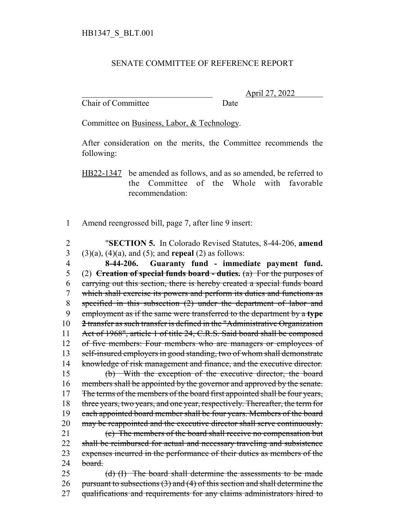## SENATE COMMITTEE OF REFERENCE REPORT

Chair of Committee Date

\_\_\_\_\_\_\_\_\_\_\_\_\_\_\_\_\_\_\_\_\_\_\_\_\_\_\_\_\_\_\_ April 27, 2022

Committee on Business, Labor, & Technology.

After consideration on the merits, the Committee recommends the following:

HB22-1347 be amended as follows, and as so amended, be referred to the Committee of the Whole with favorable recommendation:

1 Amend reengrossed bill, page 7, after line 9 insert:

 "**SECTION 5.** In Colorado Revised Statutes, 8-44-206, **amend** (3)(a), (4)(a), and (5); and **repeal** (2) as follows: **8-44-206. Guaranty fund - immediate payment fund.** (2) **Creation of special funds board - duties.** (a) For the purposes of carrying out this section, there is hereby created a special funds board which shall exercise its powers and perform its duties and functions as specified in this subsection (2) under the department of labor and

9 employment as if the same were transferred to the department by a **type** 10 **2** transfer as such transfer is defined in the "Administrative Organization 11 Act of 1968", article 1 of title 24, C.R.S. Said board shall be composed 12 of five members: Four members who are managers or employees of 13 self-insured employers in good standing, two of whom shall demonstrate 14 knowledge of risk management and finance, and the executive director. 15 (b) With the exception of the executive director, the board 16 members shall be appointed by the governor and approved by the senate. 17 The terms of the members of the board first appointed shall be four years, 18 three years, two years, and one year, respectively. Thereafter, the term for 19 each appointed board member shall be four years. Members of the board 20 may be reappointed and the executive director shall serve continuously. 21 (c) The members of the board shall receive no compensation but 22 shall be reimbursed for actual and necessary traveling and subsistence

23 expenses incurred in the performance of their duties as members of the  $24$  board.

25 (d) (I) The board shall determine the assessments to be made 26 pursuant to subsections  $(3)$  and  $(4)$  of this section and shall determine the 27 qualifications and requirements for any claims administrators hired to